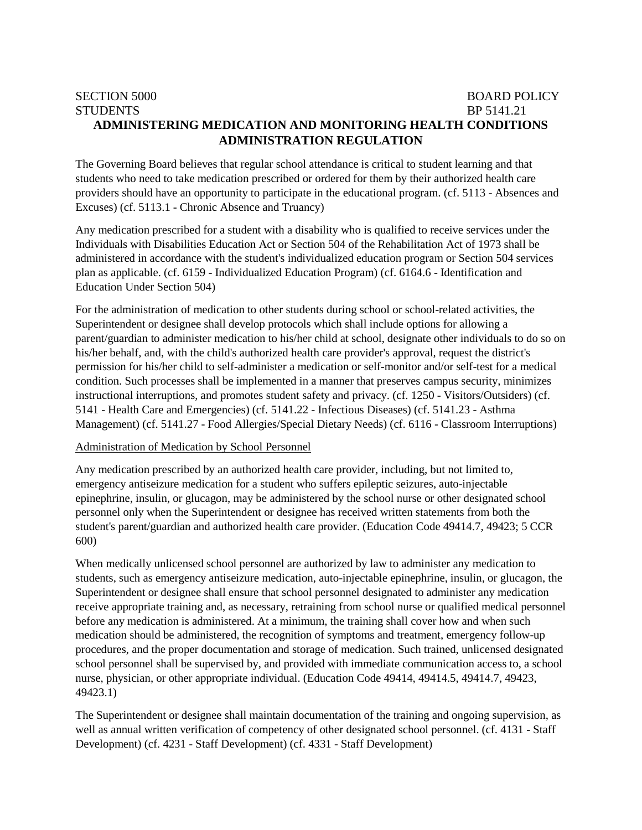# SECTION 5000 BOARD POLICY STUDENTS BP 5141.21 **ADMINISTERING MEDICATION AND MONITORING HEALTH CONDITIONS ADMINISTRATION REGULATION**

The Governing Board believes that regular school attendance is critical to student learning and that students who need to take medication prescribed or ordered for them by their authorized health care providers should have an opportunity to participate in the educational program. (cf. 5113 - Absences and Excuses) (cf. 5113.1 - Chronic Absence and Truancy)

Any medication prescribed for a student with a disability who is qualified to receive services under the Individuals with Disabilities Education Act or Section 504 of the Rehabilitation Act of 1973 shall be administered in accordance with the student's individualized education program or Section 504 services plan as applicable. (cf. 6159 - Individualized Education Program) (cf. 6164.6 - Identification and Education Under Section 504)

For the administration of medication to other students during school or school-related activities, the Superintendent or designee shall develop protocols which shall include options for allowing a parent/guardian to administer medication to his/her child at school, designate other individuals to do so on his/her behalf, and, with the child's authorized health care provider's approval, request the district's permission for his/her child to self-administer a medication or self-monitor and/or self-test for a medical condition. Such processes shall be implemented in a manner that preserves campus security, minimizes instructional interruptions, and promotes student safety and privacy. (cf. 1250 - Visitors/Outsiders) (cf. 5141 - Health Care and Emergencies) (cf. 5141.22 - Infectious Diseases) (cf. 5141.23 - Asthma Management) (cf. 5141.27 - Food Allergies/Special Dietary Needs) (cf. 6116 - Classroom Interruptions)

#### Administration of Medication by School Personnel

Any medication prescribed by an authorized health care provider, including, but not limited to, emergency antiseizure medication for a student who suffers epileptic seizures, auto-injectable epinephrine, insulin, or glucagon, may be administered by the school nurse or other designated school personnel only when the Superintendent or designee has received written statements from both the student's parent/guardian and authorized health care provider. (Education Code 49414.7, 49423; 5 CCR 600)

When medically unlicensed school personnel are authorized by law to administer any medication to students, such as emergency antiseizure medication, auto-injectable epinephrine, insulin, or glucagon, the Superintendent or designee shall ensure that school personnel designated to administer any medication receive appropriate training and, as necessary, retraining from school nurse or qualified medical personnel before any medication is administered. At a minimum, the training shall cover how and when such medication should be administered, the recognition of symptoms and treatment, emergency follow-up procedures, and the proper documentation and storage of medication. Such trained, unlicensed designated school personnel shall be supervised by, and provided with immediate communication access to, a school nurse, physician, or other appropriate individual. (Education Code 49414, 49414.5, 49414.7, 49423, 49423.1)

The Superintendent or designee shall maintain documentation of the training and ongoing supervision, as well as annual written verification of competency of other designated school personnel. (cf. 4131 - Staff Development) (cf. 4231 - Staff Development) (cf. 4331 - Staff Development)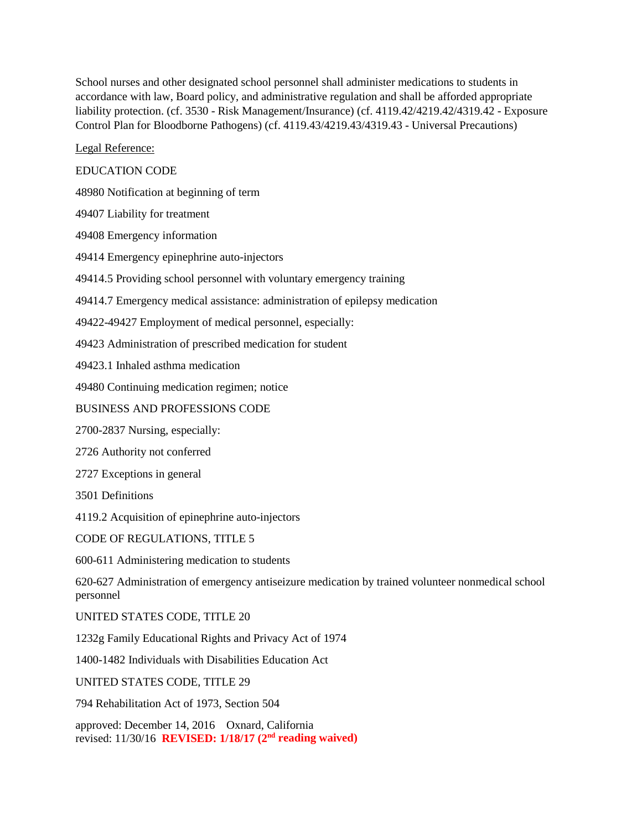School nurses and other designated school personnel shall administer medications to students in accordance with law, Board policy, and administrative regulation and shall be afforded appropriate liability protection. (cf. 3530 - Risk Management/Insurance) (cf. 4119.42/4219.42/4319.42 - Exposure Control Plan for Bloodborne Pathogens) (cf. 4119.43/4219.43/4319.43 - Universal Precautions)

Legal Reference:

## EDUCATION CODE

48980 Notification at beginning of term

49407 Liability for treatment

49408 Emergency information

49414 Emergency epinephrine auto-injectors

49414.5 Providing school personnel with voluntary emergency training

49414.7 Emergency medical assistance: administration of epilepsy medication

49422-49427 Employment of medical personnel, especially:

49423 Administration of prescribed medication for student

49423.1 Inhaled asthma medication

49480 Continuing medication regimen; notice

#### BUSINESS AND PROFESSIONS CODE

2700-2837 Nursing, especially:

2726 Authority not conferred

2727 Exceptions in general

3501 Definitions

4119.2 Acquisition of epinephrine auto-injectors

CODE OF REGULATIONS, TITLE 5

600-611 Administering medication to students

620-627 Administration of emergency antiseizure medication by trained volunteer nonmedical school personnel

UNITED STATES CODE, TITLE 20

1232g Family Educational Rights and Privacy Act of 1974

1400-1482 Individuals with Disabilities Education Act

UNITED STATES CODE, TITLE 29

794 Rehabilitation Act of 1973, Section 504

approved: December 14, 2016 Oxnard, California revised: 11/30/16 **REVISED: 1/18/17 (2nd reading waived)**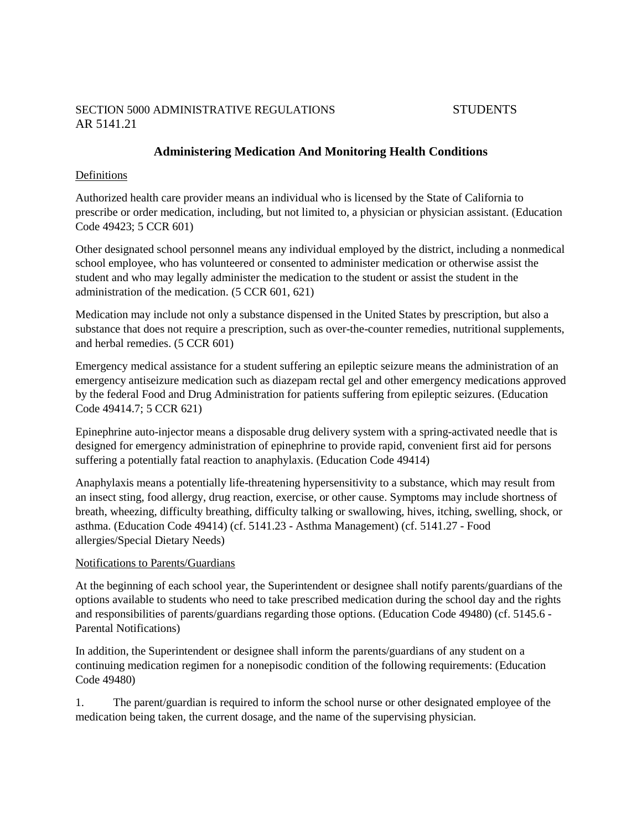## SECTION 5000 ADMINISTRATIVE REGULATIONS STUDENTS AR 5141.21

# **Administering Medication And Monitoring Health Conditions**

## Definitions

Authorized health care provider means an individual who is licensed by the State of California to prescribe or order medication, including, but not limited to, a physician or physician assistant. (Education Code 49423; 5 CCR 601)

Other designated school personnel means any individual employed by the district, including a nonmedical school employee, who has volunteered or consented to administer medication or otherwise assist the student and who may legally administer the medication to the student or assist the student in the administration of the medication. (5 CCR 601, 621)

Medication may include not only a substance dispensed in the United States by prescription, but also a substance that does not require a prescription, such as over-the-counter remedies, nutritional supplements, and herbal remedies. (5 CCR 601)

Emergency medical assistance for a student suffering an epileptic seizure means the administration of an emergency antiseizure medication such as diazepam rectal gel and other emergency medications approved by the federal Food and Drug Administration for patients suffering from epileptic seizures. (Education Code 49414.7; 5 CCR 621)

Epinephrine auto-injector means a disposable drug delivery system with a spring-activated needle that is designed for emergency administration of epinephrine to provide rapid, convenient first aid for persons suffering a potentially fatal reaction to anaphylaxis. (Education Code 49414)

Anaphylaxis means a potentially life-threatening hypersensitivity to a substance, which may result from an insect sting, food allergy, drug reaction, exercise, or other cause. Symptoms may include shortness of breath, wheezing, difficulty breathing, difficulty talking or swallowing, hives, itching, swelling, shock, or asthma. (Education Code 49414) (cf. 5141.23 - Asthma Management) (cf. 5141.27 - Food allergies/Special Dietary Needs)

#### Notifications to Parents/Guardians

At the beginning of each school year, the Superintendent or designee shall notify parents/guardians of the options available to students who need to take prescribed medication during the school day and the rights and responsibilities of parents/guardians regarding those options. (Education Code 49480) (cf. 5145.6 - Parental Notifications)

In addition, the Superintendent or designee shall inform the parents/guardians of any student on a continuing medication regimen for a nonepisodic condition of the following requirements: (Education Code 49480)

1. The parent/guardian is required to inform the school nurse or other designated employee of the medication being taken, the current dosage, and the name of the supervising physician.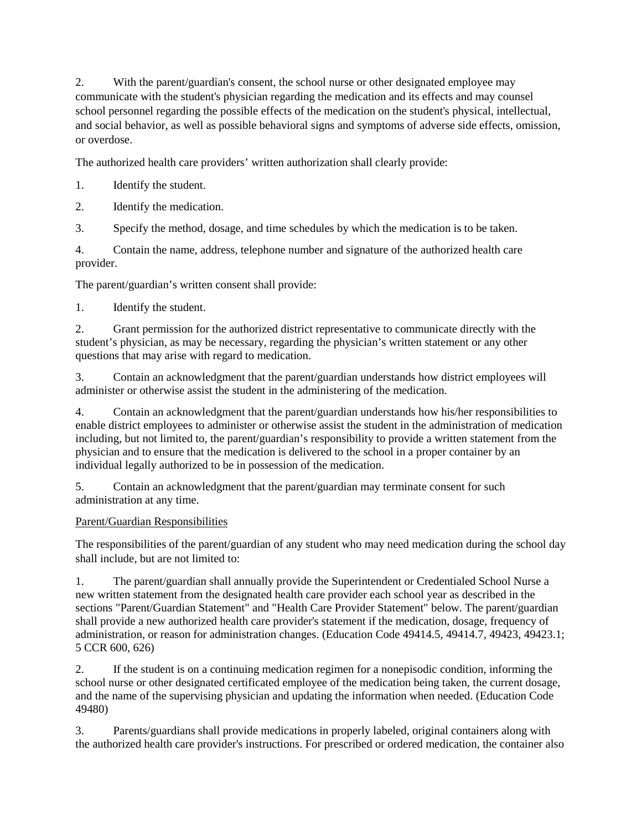2. With the parent/guardian's consent, the school nurse or other designated employee may communicate with the student's physician regarding the medication and its effects and may counsel school personnel regarding the possible effects of the medication on the student's physical, intellectual, and social behavior, as well as possible behavioral signs and symptoms of adverse side effects, omission, or overdose.

The authorized health care providers' written authorization shall clearly provide:

- 1. Identify the student.
- 2. Identify the medication.

3. Specify the method, dosage, and time schedules by which the medication is to be taken.

4. Contain the name, address, telephone number and signature of the authorized health care provider.

The parent/guardian's written consent shall provide:

1. Identify the student.

2. Grant permission for the authorized district representative to communicate directly with the student's physician, as may be necessary, regarding the physician's written statement or any other questions that may arise with regard to medication.

3. Contain an acknowledgment that the parent/guardian understands how district employees will administer or otherwise assist the student in the administering of the medication.

4. Contain an acknowledgment that the parent/guardian understands how his/her responsibilities to enable district employees to administer or otherwise assist the student in the administration of medication including, but not limited to, the parent/guardian's responsibility to provide a written statement from the physician and to ensure that the medication is delivered to the school in a proper container by an individual legally authorized to be in possession of the medication.

5. Contain an acknowledgment that the parent/guardian may terminate consent for such administration at any time.

## Parent/Guardian Responsibilities

The responsibilities of the parent/guardian of any student who may need medication during the school day shall include, but are not limited to:

1. The parent/guardian shall annually provide the Superintendent or Credentialed School Nurse a new written statement from the designated health care provider each school year as described in the sections "Parent/Guardian Statement" and "Health Care Provider Statement" below. The parent/guardian shall provide a new authorized health care provider's statement if the medication, dosage, frequency of administration, or reason for administration changes. (Education Code 49414.5, 49414.7, 49423, 49423.1; 5 CCR 600, 626)

2. If the student is on a continuing medication regimen for a nonepisodic condition, informing the school nurse or other designated certificated employee of the medication being taken, the current dosage, and the name of the supervising physician and updating the information when needed. (Education Code 49480)

3. Parents/guardians shall provide medications in properly labeled, original containers along with the authorized health care provider's instructions. For prescribed or ordered medication, the container also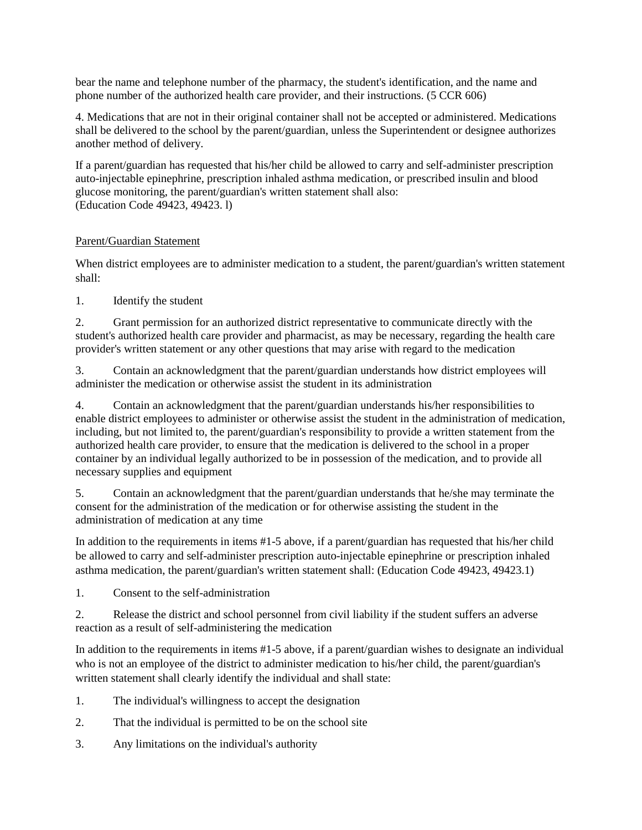bear the name and telephone number of the pharmacy, the student's identification, and the name and phone number of the authorized health care provider, and their instructions. (5 CCR 606)

4. Medications that are not in their original container shall not be accepted or administered. Medications shall be delivered to the school by the parent/guardian, unless the Superintendent or designee authorizes another method of delivery.

If a parent/guardian has requested that his/her child be allowed to carry and self-administer prescription auto-injectable epinephrine, prescription inhaled asthma medication, or prescribed insulin and blood glucose monitoring, the parent/guardian's written statement shall also: (Education Code 49423, 49423. l)

## Parent/Guardian Statement

When district employees are to administer medication to a student, the parent/guardian's written statement shall:

1. Identify the student

2. Grant permission for an authorized district representative to communicate directly with the student's authorized health care provider and pharmacist, as may be necessary, regarding the health care provider's written statement or any other questions that may arise with regard to the medication

3. Contain an acknowledgment that the parent/guardian understands how district employees will administer the medication or otherwise assist the student in its administration

4. Contain an acknowledgment that the parent/guardian understands his/her responsibilities to enable district employees to administer or otherwise assist the student in the administration of medication, including, but not limited to, the parent/guardian's responsibility to provide a written statement from the authorized health care provider, to ensure that the medication is delivered to the school in a proper container by an individual legally authorized to be in possession of the medication, and to provide all necessary supplies and equipment

5. Contain an acknowledgment that the parent/guardian understands that he/she may terminate the consent for the administration of the medication or for otherwise assisting the student in the administration of medication at any time

In addition to the requirements in items #1-5 above, if a parent/guardian has requested that his/her child be allowed to carry and self-administer prescription auto-injectable epinephrine or prescription inhaled asthma medication, the parent/guardian's written statement shall: (Education Code 49423, 49423.1)

1. Consent to the self-administration

2. Release the district and school personnel from civil liability if the student suffers an adverse reaction as a result of self-administering the medication

In addition to the requirements in items #1-5 above, if a parent/guardian wishes to designate an individual who is not an employee of the district to administer medication to his/her child, the parent/guardian's written statement shall clearly identify the individual and shall state:

- 1. The individual's willingness to accept the designation
- 2. That the individual is permitted to be on the school site
- 3. Any limitations on the individual's authority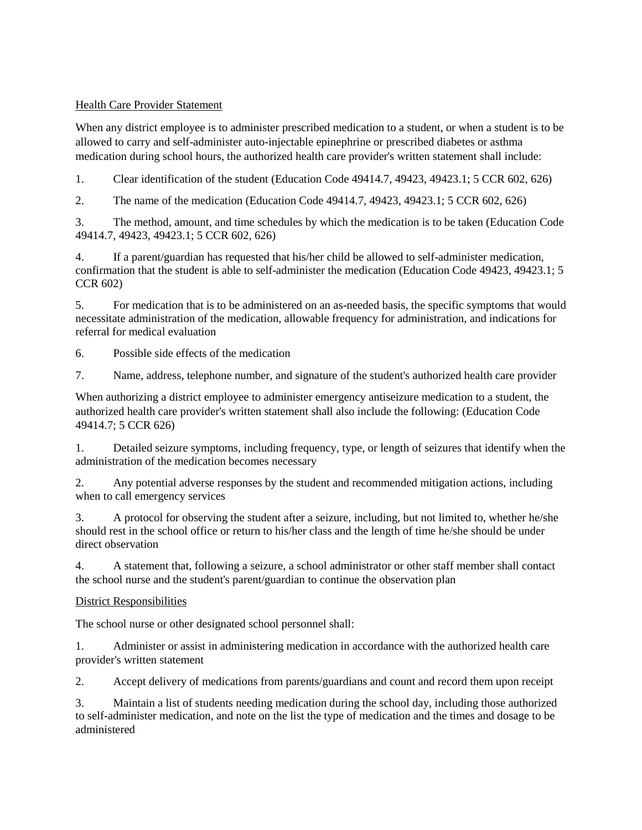## Health Care Provider Statement

When any district employee is to administer prescribed medication to a student, or when a student is to be allowed to carry and self-administer auto-injectable epinephrine or prescribed diabetes or asthma medication during school hours, the authorized health care provider's written statement shall include:

1. Clear identification of the student (Education Code 49414.7, 49423, 49423.1; 5 CCR 602, 626)

2. The name of the medication (Education Code 49414.7, 49423, 49423.1; 5 CCR 602, 626)

3. The method, amount, and time schedules by which the medication is to be taken (Education Code 49414.7, 49423, 49423.1; 5 CCR 602, 626)

4. If a parent/guardian has requested that his/her child be allowed to self-administer medication, confirmation that the student is able to self-administer the medication (Education Code 49423, 49423.1; 5 CCR 602)

5. For medication that is to be administered on an as-needed basis, the specific symptoms that would necessitate administration of the medication, allowable frequency for administration, and indications for referral for medical evaluation

6. Possible side effects of the medication

7. Name, address, telephone number, and signature of the student's authorized health care provider

When authorizing a district employee to administer emergency antiseizure medication to a student, the authorized health care provider's written statement shall also include the following: (Education Code 49414.7; 5 CCR 626)

1. Detailed seizure symptoms, including frequency, type, or length of seizures that identify when the administration of the medication becomes necessary

2. Any potential adverse responses by the student and recommended mitigation actions, including when to call emergency services

3. A protocol for observing the student after a seizure, including, but not limited to, whether he/she should rest in the school office or return to his/her class and the length of time he/she should be under direct observation

4. A statement that, following a seizure, a school administrator or other staff member shall contact the school nurse and the student's parent/guardian to continue the observation plan

## District Responsibilities

The school nurse or other designated school personnel shall:

1. Administer or assist in administering medication in accordance with the authorized health care provider's written statement

2. Accept delivery of medications from parents/guardians and count and record them upon receipt

3. Maintain a list of students needing medication during the school day, including those authorized to self-administer medication, and note on the list the type of medication and the times and dosage to be administered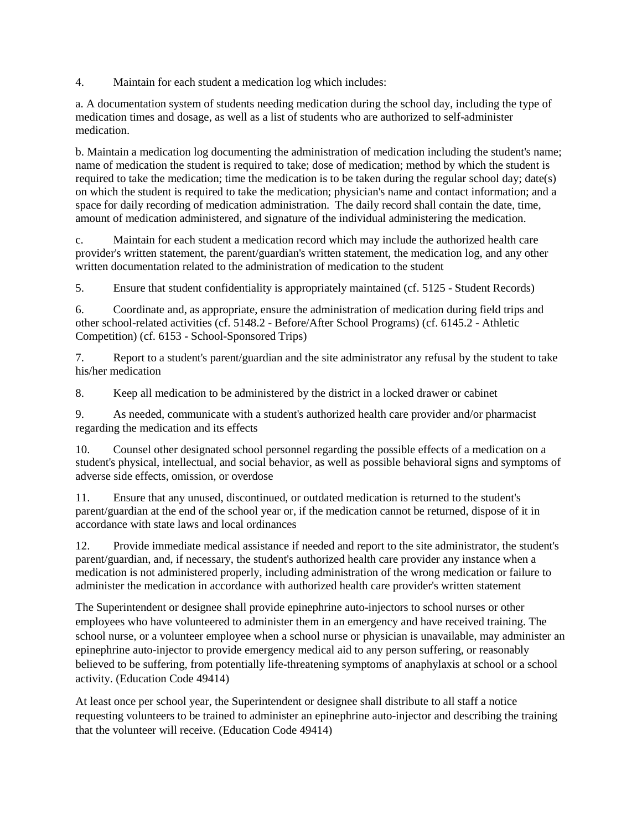4. Maintain for each student a medication log which includes:

a. A documentation system of students needing medication during the school day, including the type of medication times and dosage, as well as a list of students who are authorized to self-administer medication.

b. Maintain a medication log documenting the administration of medication including the student's name; name of medication the student is required to take; dose of medication; method by which the student is required to take the medication; time the medication is to be taken during the regular school day; date(s) on which the student is required to take the medication; physician's name and contact information; and a space for daily recording of medication administration. The daily record shall contain the date, time, amount of medication administered, and signature of the individual administering the medication.

c. Maintain for each student a medication record which may include the authorized health care provider's written statement, the parent/guardian's written statement, the medication log, and any other written documentation related to the administration of medication to the student

5. Ensure that student confidentiality is appropriately maintained (cf. 5125 - Student Records)

6. Coordinate and, as appropriate, ensure the administration of medication during field trips and other school-related activities (cf. 5148.2 - Before/After School Programs) (cf. 6145.2 - Athletic Competition) (cf. 6153 - School-Sponsored Trips)

7. Report to a student's parent/guardian and the site administrator any refusal by the student to take his/her medication

8. Keep all medication to be administered by the district in a locked drawer or cabinet

9. As needed, communicate with a student's authorized health care provider and/or pharmacist regarding the medication and its effects

10. Counsel other designated school personnel regarding the possible effects of a medication on a student's physical, intellectual, and social behavior, as well as possible behavioral signs and symptoms of adverse side effects, omission, or overdose

11. Ensure that any unused, discontinued, or outdated medication is returned to the student's parent/guardian at the end of the school year or, if the medication cannot be returned, dispose of it in accordance with state laws and local ordinances

12. Provide immediate medical assistance if needed and report to the site administrator, the student's parent/guardian, and, if necessary, the student's authorized health care provider any instance when a medication is not administered properly, including administration of the wrong medication or failure to administer the medication in accordance with authorized health care provider's written statement

The Superintendent or designee shall provide epinephrine auto-injectors to school nurses or other employees who have volunteered to administer them in an emergency and have received training. The school nurse, or a volunteer employee when a school nurse or physician is unavailable, may administer an epinephrine auto-injector to provide emergency medical aid to any person suffering, or reasonably believed to be suffering, from potentially life-threatening symptoms of anaphylaxis at school or a school activity. (Education Code 49414)

At least once per school year, the Superintendent or designee shall distribute to all staff a notice requesting volunteers to be trained to administer an epinephrine auto-injector and describing the training that the volunteer will receive. (Education Code 49414)